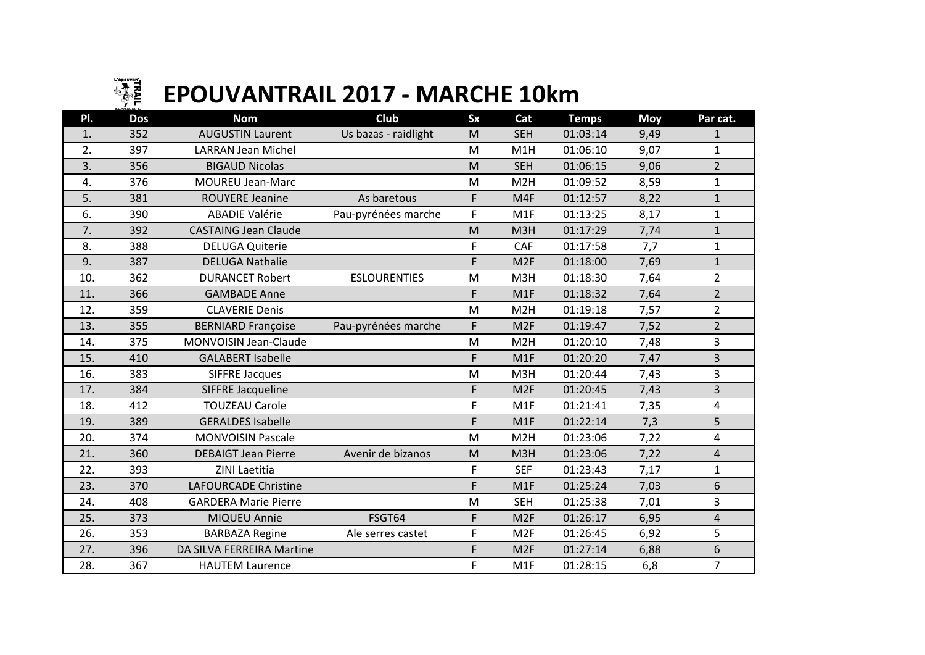

## **EPOUVANTRAIL 2017 - MARCHE 10km**

| PI. | <b>Dos</b> | <b>Nom</b>                  | Club                 | <b>Sx</b>                                                                             | Cat              | <b>Temps</b> | <b>Moy</b> | Par cat.       |
|-----|------------|-----------------------------|----------------------|---------------------------------------------------------------------------------------|------------------|--------------|------------|----------------|
| 1.  | 352        | <b>AUGUSTIN Laurent</b>     | Us bazas - raidlight | M                                                                                     | <b>SEH</b>       | 01:03:14     | 9,49       | 1              |
| 2.  | 397        | <b>LARRAN Jean Michel</b>   |                      | M                                                                                     | M <sub>1</sub> H | 01:06:10     | 9,07       | $\mathbf{1}$   |
| 3.  | 356        | <b>BIGAUD Nicolas</b>       |                      | M                                                                                     | <b>SEH</b>       | 01:06:15     | 9,06       | $\overline{2}$ |
| 4.  | 376        | <b>MOUREU Jean-Marc</b>     |                      | M                                                                                     | M <sub>2</sub> H | 01:09:52     | 8,59       | $\mathbf{1}$   |
| 5.  | 381        | <b>ROUYERE Jeanine</b>      | As baretous          | F                                                                                     | M4F              | 01:12:57     | 8,22       | $\mathbf{1}$   |
| 6.  | 390        | <b>ABADIE Valérie</b>       | Pau-pyrénées marche  | F                                                                                     | M1F              | 01:13:25     | 8,17       | $\mathbf{1}$   |
| 7.  | 392        | <b>CASTAING Jean Claude</b> |                      | M                                                                                     | M3H              | 01:17:29     | 7,74       | $\mathbf{1}$   |
| 8.  | 388        | <b>DELUGA Quiterie</b>      |                      | F                                                                                     | CAF              | 01:17:58     | 7,7        | $\mathbf{1}$   |
| 9.  | 387        | <b>DELUGA Nathalie</b>      |                      | F                                                                                     | M <sub>2F</sub>  | 01:18:00     | 7,69       | $\mathbf{1}$   |
| 10. | 362        | <b>DURANCET Robert</b>      | <b>ESLOURENTIES</b>  | M                                                                                     | M3H              | 01:18:30     | 7,64       | $\overline{2}$ |
| 11. | 366        | <b>GAMBADE Anne</b>         |                      | F                                                                                     | M1F              | 01:18:32     | 7,64       | $\overline{2}$ |
| 12. | 359        | <b>CLAVERIE Denis</b>       |                      | M                                                                                     | M <sub>2</sub> H | 01:19:18     | 7,57       | $\overline{2}$ |
| 13. | 355        | <b>BERNIARD Françoise</b>   | Pau-pyrénées marche  | F                                                                                     | M <sub>2F</sub>  | 01:19:47     | 7,52       | $\overline{2}$ |
| 14. | 375        | MONVOISIN Jean-Claude       |                      | M                                                                                     | M <sub>2</sub> H | 01:20:10     | 7,48       | 3              |
| 15. | 410        | <b>GALABERT Isabelle</b>    |                      | F                                                                                     | M1F              | 01:20:20     | 7,47       | 3              |
| 16. | 383        | <b>SIFFRE Jacques</b>       |                      | $\mathsf{M}% _{T}=\mathsf{M}_{T}\!\left( a,b\right) ,\ \mathsf{M}_{T}=\mathsf{M}_{T}$ | M3H              | 01:20:44     | 7,43       | 3              |
| 17. | 384        | SIFFRE Jacqueline           |                      | F                                                                                     | M <sub>2F</sub>  | 01:20:45     | 7,43       | 3              |
| 18. | 412        | <b>TOUZEAU Carole</b>       |                      | F                                                                                     | M1F              | 01:21:41     | 7,35       | 4              |
| 19. | 389        | <b>GERALDES Isabelle</b>    |                      | F                                                                                     | M1F              | 01:22:14     | 7,3        | 5              |
| 20. | 374        | <b>MONVOISIN Pascale</b>    |                      | M                                                                                     | M <sub>2</sub> H | 01:23:06     | 7,22       | 4              |
| 21. | 360        | <b>DEBAIGT Jean Pierre</b>  | Avenir de bizanos    | M                                                                                     | M <sub>3</sub> H | 01:23:06     | 7,22       | $\overline{4}$ |
| 22. | 393        | ZINI Laetitia               |                      | F                                                                                     | <b>SEF</b>       | 01:23:43     | 7,17       | $\mathbf{1}$   |
| 23. | 370        | <b>LAFOURCADE Christine</b> |                      | F                                                                                     | M1F              | 01:25:24     | 7,03       | 6              |
| 24. | 408        | <b>GARDERA Marie Pierre</b> |                      | M                                                                                     | <b>SEH</b>       | 01:25:38     | 7,01       | 3              |
| 25. | 373        | MIQUEU Annie                | FSGT64               | F                                                                                     | M <sub>2F</sub>  | 01:26:17     | 6,95       | $\overline{4}$ |
| 26. | 353        | <b>BARBAZA Regine</b>       | Ale serres castet    | F                                                                                     | M <sub>2F</sub>  | 01:26:45     | 6,92       | 5              |
| 27. | 396        | DA SILVA FERREIRA Martine   |                      | F                                                                                     | M <sub>2F</sub>  | 01:27:14     | 6,88       | 6              |
| 28. | 367        | <b>HAUTEM Laurence</b>      |                      | F                                                                                     | M1F              | 01:28:15     | 6,8        | $\overline{7}$ |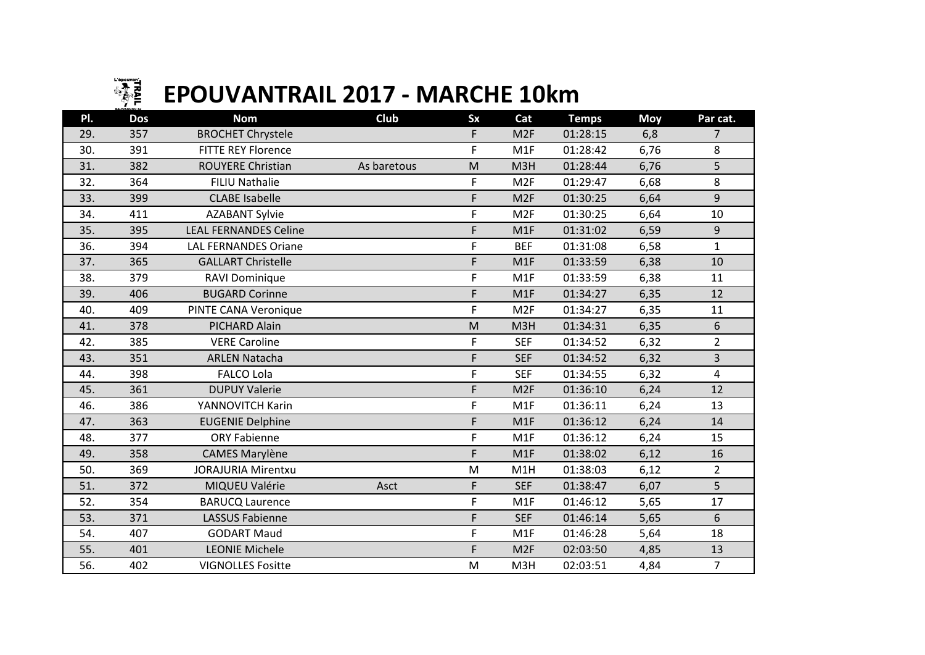

## **EPOUVANTRAIL 2017 - MARCHE 10km**

| PI. | <b>Dos</b> | <b>Nom</b>                   | Club        | <b>Sx</b>                                                                                                  | Cat             | <b>Temps</b> | <b>Moy</b> | Par cat.       |
|-----|------------|------------------------------|-------------|------------------------------------------------------------------------------------------------------------|-----------------|--------------|------------|----------------|
| 29. | 357        | <b>BROCHET Chrystele</b>     |             | F                                                                                                          | M <sub>2F</sub> | 01:28:15     | 6,8        | 7              |
| 30. | 391        | <b>FITTE REY Florence</b>    |             | F                                                                                                          | M1F             | 01:28:42     | 6,76       | 8              |
| 31. | 382        | ROUYERE Christian            | As baretous | M                                                                                                          | M3H             | 01:28:44     | 6,76       | 5              |
| 32. | 364        | FILIU Nathalie               |             | F                                                                                                          | M <sub>2F</sub> | 01:29:47     | 6,68       | 8              |
| 33. | 399        | <b>CLABE Isabelle</b>        |             | F                                                                                                          | M <sub>2F</sub> | 01:30:25     | 6,64       | 9              |
| 34. | 411        | <b>AZABANT Sylvie</b>        |             | F                                                                                                          | M <sub>2F</sub> | 01:30:25     | 6,64       | 10             |
| 35. | 395        | <b>LEAL FERNANDES Celine</b> |             | F                                                                                                          | M1F             | 01:31:02     | 6,59       | 9              |
| 36. | 394        | <b>LAL FERNANDES Oriane</b>  |             | F                                                                                                          | <b>BEF</b>      | 01:31:08     | 6,58       | $\mathbf{1}$   |
| 37. | 365        | <b>GALLART Christelle</b>    |             | F                                                                                                          | M1F             | 01:33:59     | 6,38       | 10             |
| 38. | 379        | RAVI Dominique               |             | F                                                                                                          | M1F             | 01:33:59     | 6,38       | 11             |
| 39. | 406        | <b>BUGARD Corinne</b>        |             | F                                                                                                          | M1F             | 01:34:27     | 6,35       | 12             |
| 40. | 409        | PINTE CANA Veronique         |             | F                                                                                                          | M <sub>2F</sub> | 01:34:27     | 6,35       | 11             |
| 41. | 378        | PICHARD Alain                |             | $\mathsf{M}% _{T}=\mathsf{M}_{T}\!\left( a,b\right) ,\ \mathsf{M}_{T}=\mathsf{M}_{T}\!\left( a,b\right) ,$ | M3H             | 01:34:31     | 6,35       | 6              |
| 42. | 385        | <b>VERE Caroline</b>         |             | F                                                                                                          | <b>SEF</b>      | 01:34:52     | 6,32       | $\overline{2}$ |
| 43. | 351        | <b>ARLEN Natacha</b>         |             | F                                                                                                          | <b>SEF</b>      | 01:34:52     | 6,32       | $\overline{3}$ |
| 44. | 398        | <b>FALCO Lola</b>            |             | F                                                                                                          | <b>SEF</b>      | 01:34:55     | 6,32       | 4              |
| 45. | 361        | <b>DUPUY Valerie</b>         |             | F                                                                                                          | M <sub>2F</sub> | 01:36:10     | 6,24       | 12             |
| 46. | 386        | YANNOVITCH Karin             |             | F                                                                                                          | M1F             | 01:36:11     | 6,24       | 13             |
| 47. | 363        | <b>EUGENIE Delphine</b>      |             | F                                                                                                          | M1F             | 01:36:12     | 6,24       | 14             |
| 48. | 377        | <b>ORY Fabienne</b>          |             | F                                                                                                          | M1F             | 01:36:12     | 6,24       | 15             |
| 49. | 358        | <b>CAMES Marylène</b>        |             | F                                                                                                          | M1F             | 01:38:02     | 6,12       | 16             |
| 50. | 369        | <b>JORAJURIA Mirentxu</b>    |             | M                                                                                                          | M1H             | 01:38:03     | 6,12       | $\overline{2}$ |
| 51. | 372        | MIQUEU Valérie               | Asct        | F                                                                                                          | <b>SEF</b>      | 01:38:47     | 6,07       | 5              |
| 52. | 354        | <b>BARUCQ Laurence</b>       |             | F                                                                                                          | M1F             | 01:46:12     | 5,65       | 17             |
| 53. | 371        | <b>LASSUS Fabienne</b>       |             | F                                                                                                          | <b>SEF</b>      | 01:46:14     | 5,65       | 6              |
| 54. | 407        | <b>GODART Maud</b>           |             | F                                                                                                          | M1F             | 01:46:28     | 5,64       | 18             |
| 55. | 401        | <b>LEONIE Michele</b>        |             | F                                                                                                          | M <sub>2F</sub> | 02:03:50     | 4,85       | 13             |
| 56. | 402        | <b>VIGNOLLES Fositte</b>     |             | ${\sf M}$                                                                                                  | M3H             | 02:03:51     | 4,84       | $\overline{7}$ |